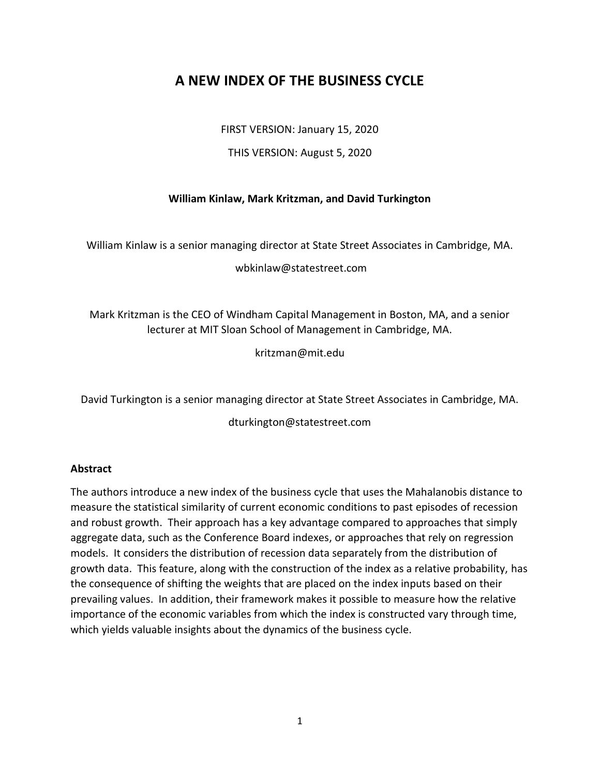# **A NEW INDEX OF THE BUSINESS CYCLE**

FIRST VERSION: January 15, 2020

THIS VERSION: August 5, 2020

## **William Kinlaw, Mark Kritzman, and David Turkington**

William Kinlaw is a senior managing director at State Street Associates in Cambridge, MA.

wbkinlaw@statestreet.com

Mark Kritzman is the CEO of Windham Capital Management in Boston, MA, and a senior lecturer at MIT Sloan School of Management in Cambridge, MA.

kritzman@mit.edu

David Turkington is a senior managing director at State Street Associates in Cambridge, MA.

dturkington@statestreet.com

### **Abstract**

The authors introduce a new index of the business cycle that uses the Mahalanobis distance to measure the statistical similarity of current economic conditions to past episodes of recession and robust growth. Their approach has a key advantage compared to approaches that simply aggregate data, such as the Conference Board indexes, or approaches that rely on regression models. It considers the distribution of recession data separately from the distribution of growth data. This feature, along with the construction of the index as a relative probability, has the consequence of shifting the weights that are placed on the index inputs based on their prevailing values. In addition, their framework makes it possible to measure how the relative importance of the economic variables from which the index is constructed vary through time, which yields valuable insights about the dynamics of the business cycle.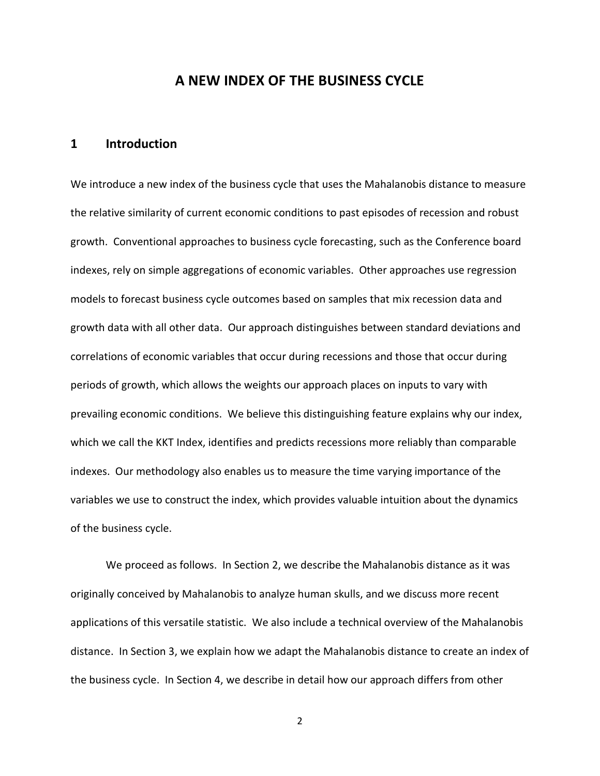# **A NEW INDEX OF THE BUSINESS CYCLE**

### **1 Introduction**

We introduce a new index of the business cycle that uses the Mahalanobis distance to measure the relative similarity of current economic conditions to past episodes of recession and robust growth. Conventional approaches to business cycle forecasting, such as the Conference board indexes, rely on simple aggregations of economic variables. Other approaches use regression models to forecast business cycle outcomes based on samples that mix recession data and growth data with all other data. Our approach distinguishes between standard deviations and correlations of economic variables that occur during recessions and those that occur during periods of growth, which allows the weights our approach places on inputs to vary with prevailing economic conditions. We believe this distinguishing feature explains why our index, which we call the KKT Index, identifies and predicts recessions more reliably than comparable indexes. Our methodology also enables us to measure the time varying importance of the variables we use to construct the index, which provides valuable intuition about the dynamics of the business cycle.

We proceed as follows. In Section 2, we describe the Mahalanobis distance as it was originally conceived by Mahalanobis to analyze human skulls, and we discuss more recent applications of this versatile statistic. We also include a technical overview of the Mahalanobis distance. In Section 3, we explain how we adapt the Mahalanobis distance to create an index of the business cycle. In Section 4, we describe in detail how our approach differs from other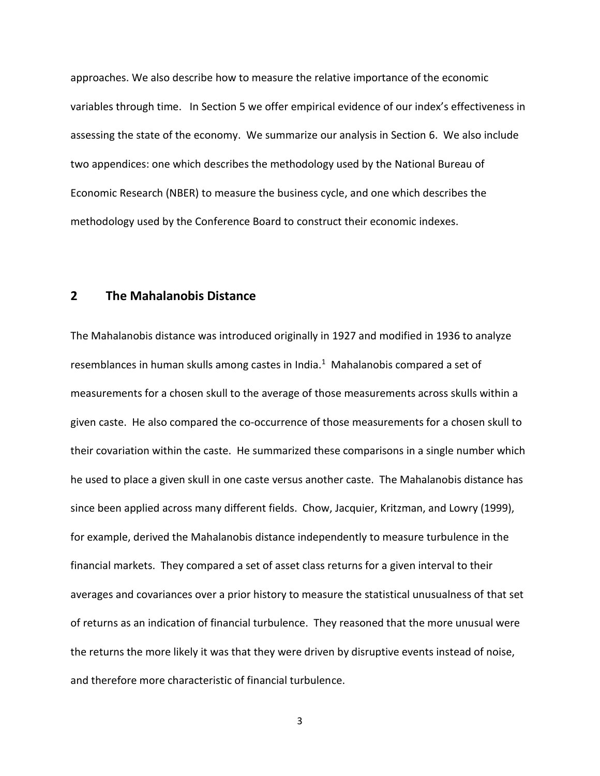approaches. We also describe how to measure the relative importance of the economic variables through time. In Section 5 we offer empirical evidence of our index's effectiveness in assessing the state of the economy. We summarize our analysis in Section 6. We also include two appendices: one which describes the methodology used by the National Bureau of Economic Research (NBER) to measure the business cycle, and one which describes the methodology used by the Conference Board to construct their economic indexes.

### **2 The Mahalanobis Distance**

The Mahalanobis distance was introduced originally in 1927 and modified in 1936 to analyze resemblances in human skulls among castes in India. $<sup>1</sup>$  Mahalanobis compared a set of</sup> measurements for a chosen skull to the average of those measurements across skulls within a given caste. He also compared the co-occurrence of those measurements for a chosen skull to their covariation within the caste. He summarized these comparisons in a single number which he used to place a given skull in one caste versus another caste. The Mahalanobis distance has since been applied across many different fields. Chow, Jacquier, Kritzman, and Lowry (1999), for example, derived the Mahalanobis distance independently to measure turbulence in the financial markets. They compared a set of asset class returns for a given interval to their averages and covariances over a prior history to measure the statistical unusualness of that set of returns as an indication of financial turbulence. They reasoned that the more unusual were the returns the more likely it was that they were driven by disruptive events instead of noise, and therefore more characteristic of financial turbulence.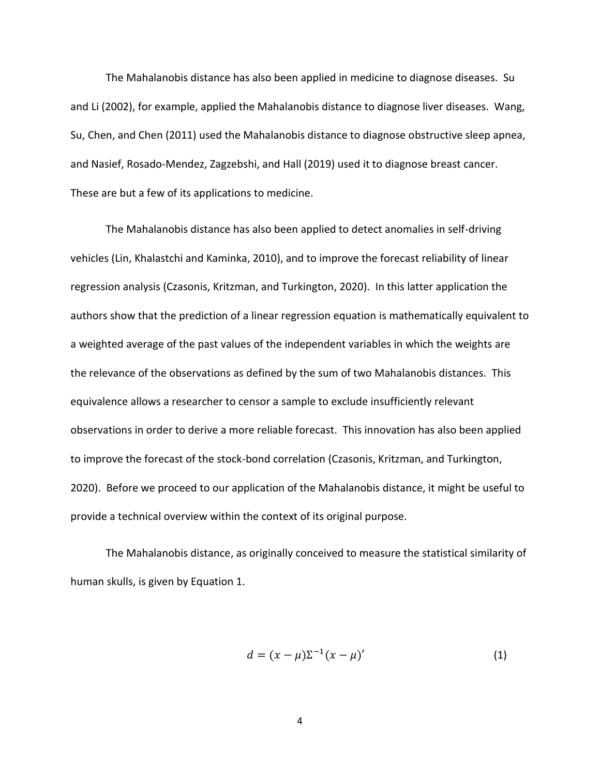The Mahalanobis distance has also been applied in medicine to diagnose diseases. Su and Li (2002), for example, applied the Mahalanobis distance to diagnose liver diseases. Wang, Su, Chen, and Chen (2011) used the Mahalanobis distance to diagnose obstructive sleep apnea, and Nasief, Rosado-Mendez, Zagzebshi, and Hall (2019) used it to diagnose breast cancer. These are but a few of its applications to medicine.

The Mahalanobis distance has also been applied to detect anomalies in self-driving vehicles (Lin, Khalastchi and Kaminka, 2010), and to improve the forecast reliability of linear regression analysis (Czasonis, Kritzman, and Turkington, 2020). In this latter application the authors show that the prediction of a linear regression equation is mathematically equivalent to a weighted average of the past values of the independent variables in which the weights are the relevance of the observations as defined by the sum of two Mahalanobis distances. This equivalence allows a researcher to censor a sample to exclude insufficiently relevant observations in order to derive a more reliable forecast. This innovation has also been applied to improve the forecast of the stock-bond correlation (Czasonis, Kritzman, and Turkington, 2020). Before we proceed to our application of the Mahalanobis distance, it might be useful to provide a technical overview within the context of its original purpose.

The Mahalanobis distance, as originally conceived to measure the statistical similarity of human skulls, is given by Equation 1.

$$
d = (x - \mu)\Sigma^{-1}(x - \mu)'
$$
 (1)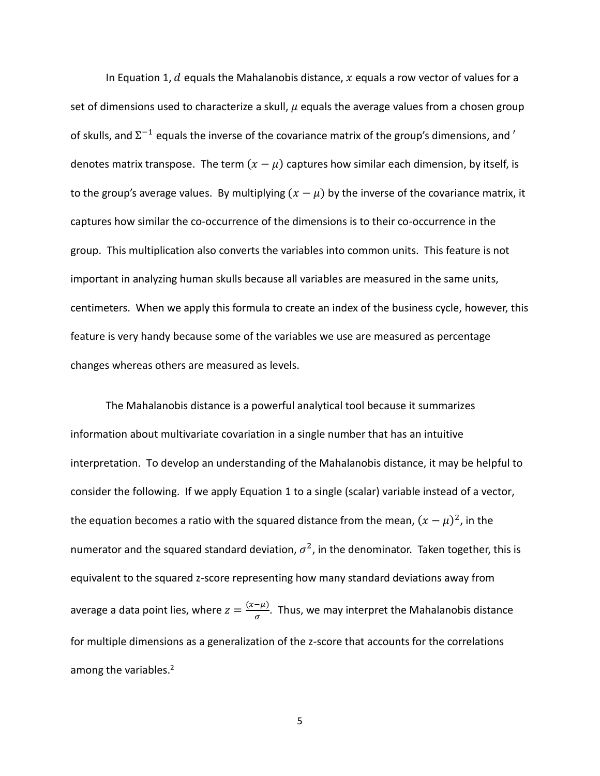In Equation 1,  $d$  equals the Mahalanobis distance,  $x$  equals a row vector of values for a set of dimensions used to characterize a skull,  $\mu$  equals the average values from a chosen group of skulls, and  $\Sigma^{-1}$  equals the inverse of the covariance matrix of the group's dimensions, and  $'$ denotes matrix transpose. The term  $(x - \mu)$  captures how similar each dimension, by itself, is to the group's average values. By multiplying  $(x - \mu)$  by the inverse of the covariance matrix, it captures how similar the co-occurrence of the dimensions is to their co-occurrence in the group. This multiplication also converts the variables into common units. This feature is not important in analyzing human skulls because all variables are measured in the same units, centimeters. When we apply this formula to create an index of the business cycle, however, this feature is very handy because some of the variables we use are measured as percentage changes whereas others are measured as levels.

The Mahalanobis distance is a powerful analytical tool because it summarizes information about multivariate covariation in a single number that has an intuitive interpretation. To develop an understanding of the Mahalanobis distance, it may be helpful to consider the following. If we apply Equation 1 to a single (scalar) variable instead of a vector, the equation becomes a ratio with the squared distance from the mean,  $(x - \mu)^2$ , in the numerator and the squared standard deviation,  $\sigma^2$ , in the denominator. Taken together, this is equivalent to the squared z-score representing how many standard deviations away from average a data point lies, where  $z = \frac{(x-\mu)}{2}$  $\frac{\mu}{\sigma}$ . Thus, we may interpret the Mahalanobis distance for multiple dimensions as a generalization of the z-score that accounts for the correlations among the variables.<sup>2</sup>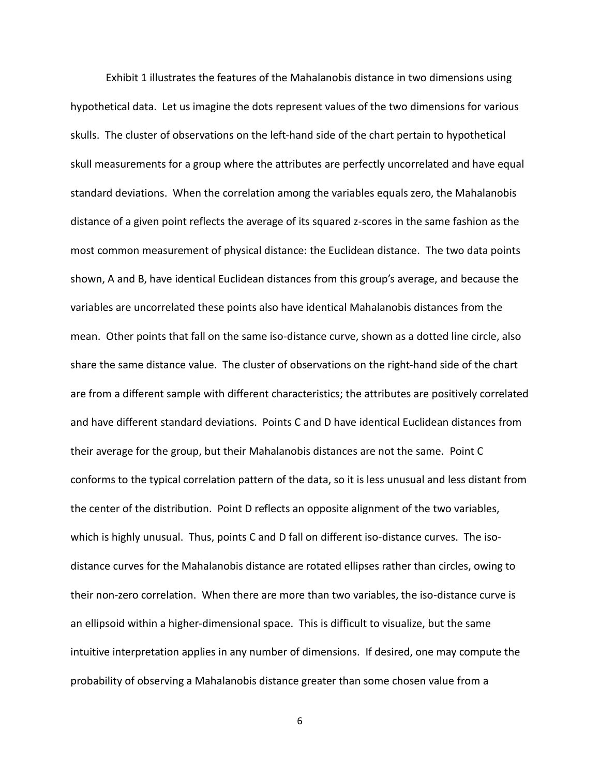Exhibit 1 illustrates the features of the Mahalanobis distance in two dimensions using hypothetical data. Let us imagine the dots represent values of the two dimensions for various skulls. The cluster of observations on the left-hand side of the chart pertain to hypothetical skull measurements for a group where the attributes are perfectly uncorrelated and have equal standard deviations. When the correlation among the variables equals zero, the Mahalanobis distance of a given point reflects the average of its squared z-scores in the same fashion as the most common measurement of physical distance: the Euclidean distance. The two data points shown, A and B, have identical Euclidean distances from this group's average, and because the variables are uncorrelated these points also have identical Mahalanobis distances from the mean. Other points that fall on the same iso-distance curve, shown as a dotted line circle, also share the same distance value. The cluster of observations on the right-hand side of the chart are from a different sample with different characteristics; the attributes are positively correlated and have different standard deviations. Points C and D have identical Euclidean distances from their average for the group, but their Mahalanobis distances are not the same. Point C conforms to the typical correlation pattern of the data, so it is less unusual and less distant from the center of the distribution. Point D reflects an opposite alignment of the two variables, which is highly unusual. Thus, points C and D fall on different iso-distance curves. The isodistance curves for the Mahalanobis distance are rotated ellipses rather than circles, owing to their non-zero correlation. When there are more than two variables, the iso-distance curve is an ellipsoid within a higher-dimensional space. This is difficult to visualize, but the same intuitive interpretation applies in any number of dimensions. If desired, one may compute the probability of observing a Mahalanobis distance greater than some chosen value from a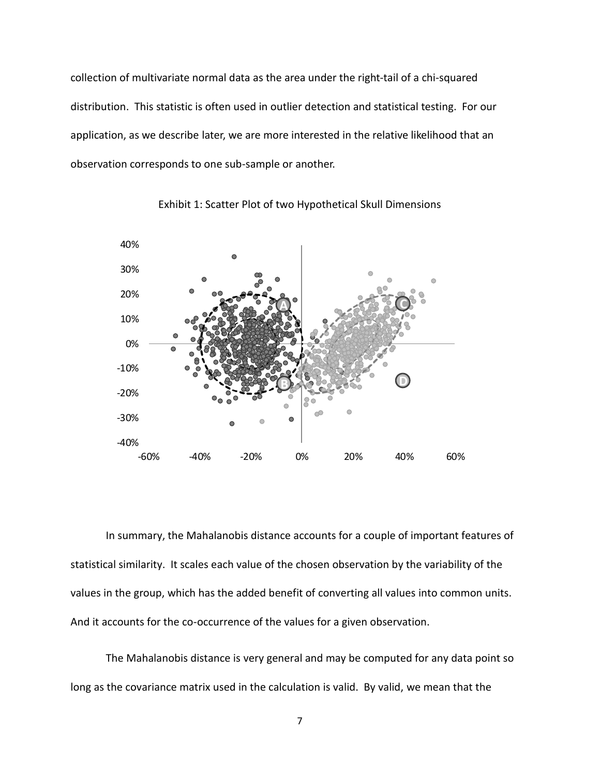collection of multivariate normal data as the area under the right-tail of a chi-squared distribution. This statistic is often used in outlier detection and statistical testing. For our application, as we describe later, we are more interested in the relative likelihood that an observation corresponds to one sub-sample or another.



Exhibit 1: Scatter Plot of two Hypothetical Skull Dimensions

In summary, the Mahalanobis distance accounts for a couple of important features of statistical similarity. It scales each value of the chosen observation by the variability of the values in the group, which has the added benefit of converting all values into common units. And it accounts for the co-occurrence of the values for a given observation.

The Mahalanobis distance is very general and may be computed for any data point so long as the covariance matrix used in the calculation is valid. By valid, we mean that the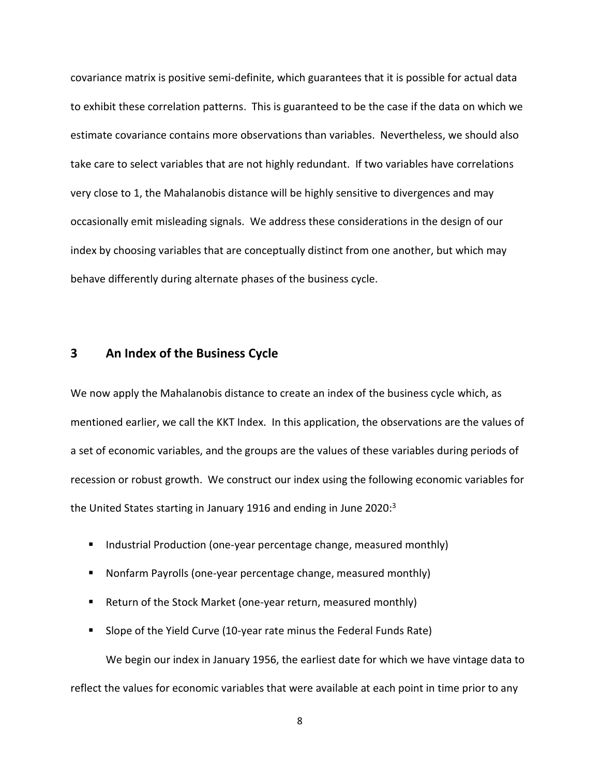covariance matrix is positive semi-definite, which guarantees that it is possible for actual data to exhibit these correlation patterns. This is guaranteed to be the case if the data on which we estimate covariance contains more observations than variables. Nevertheless, we should also take care to select variables that are not highly redundant. If two variables have correlations very close to 1, the Mahalanobis distance will be highly sensitive to divergences and may occasionally emit misleading signals. We address these considerations in the design of our index by choosing variables that are conceptually distinct from one another, but which may behave differently during alternate phases of the business cycle.

### **3 An Index of the Business Cycle**

We now apply the Mahalanobis distance to create an index of the business cycle which, as mentioned earlier, we call the KKT Index. In this application, the observations are the values of a set of economic variables, and the groups are the values of these variables during periods of recession or robust growth. We construct our index using the following economic variables for the United States starting in January 1916 and ending in June 2020:<sup>3</sup>

- Industrial Production (one-year percentage change, measured monthly)
- Nonfarm Payrolls (one-year percentage change, measured monthly)
- Return of the Stock Market (one-year return, measured monthly)
- Slope of the Yield Curve (10-year rate minus the Federal Funds Rate) We begin our index in January 1956, the earliest date for which we have vintage data to reflect the values for economic variables that were available at each point in time prior to any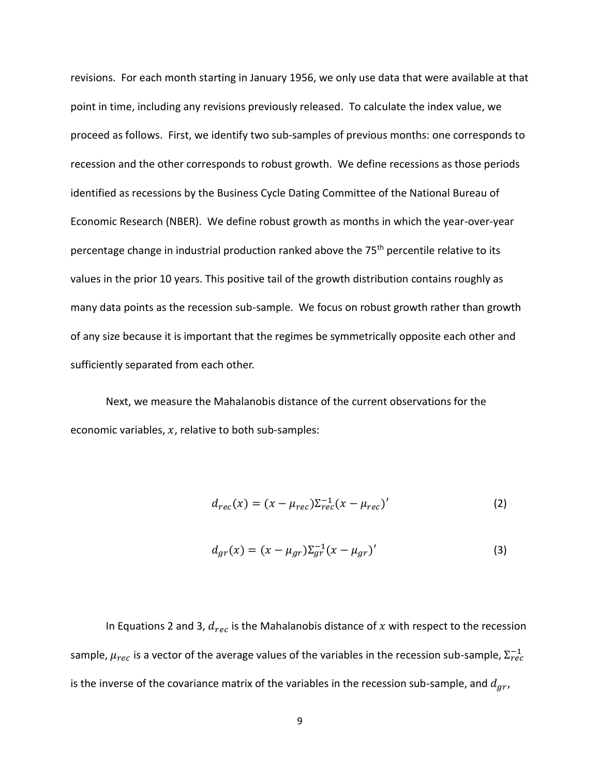revisions. For each month starting in January 1956, we only use data that were available at that point in time, including any revisions previously released. To calculate the index value, we proceed as follows. First, we identify two sub-samples of previous months: one corresponds to recession and the other corresponds to robust growth. We define recessions as those periods identified as recessions by the Business Cycle Dating Committee of the National Bureau of Economic Research (NBER). We define robust growth as months in which the year-over-year percentage change in industrial production ranked above the 75<sup>th</sup> percentile relative to its values in the prior 10 years. This positive tail of the growth distribution contains roughly as many data points as the recession sub-sample. We focus on robust growth rather than growth of any size because it is important that the regimes be symmetrically opposite each other and sufficiently separated from each other.

Next, we measure the Mahalanobis distance of the current observations for the economic variables,  $x$ , relative to both sub-samples:

$$
d_{rec}(x) = (x - \mu_{rec})\Sigma_{rec}^{-1}(x - \mu_{rec})'
$$
 (2)

$$
d_{gr}(x) = (x - \mu_{gr}) \Sigma_{gr}^{-1} (x - \mu_{gr})'
$$
 (3)

In Equations 2 and 3,  $d_{rec}$  is the Mahalanobis distance of x with respect to the recession sample,  $\mu_{rec}$  is a vector of the average values of the variables in the recession sub-sample,  $\Sigma^{-1}_{rec}$ is the inverse of the covariance matrix of the variables in the recession sub-sample, and  $d_{ar}$ ,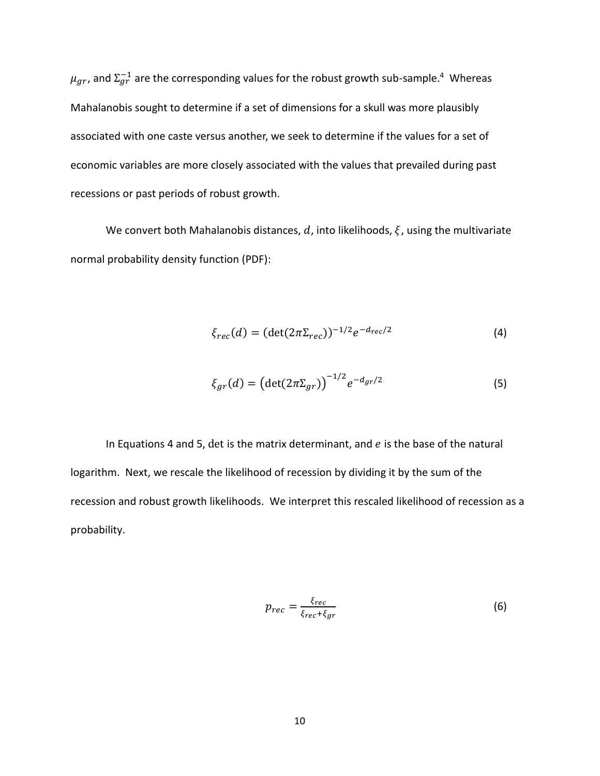$\mu_{gr}$ , and  $\Sigma_{gr}^{-1}$  are the corresponding values for the robust growth sub-sample.<sup>4</sup> Whereas Mahalanobis sought to determine if a set of dimensions for a skull was more plausibly associated with one caste versus another, we seek to determine if the values for a set of economic variables are more closely associated with the values that prevailed during past recessions or past periods of robust growth.

We convert both Mahalanobis distances, d, into likelihoods,  $\xi$ , using the multivariate normal probability density function (PDF):

$$
\xi_{rec}(d) = (\det(2\pi \Sigma_{rec}))^{-1/2} e^{-d_{rec}/2}
$$
\n(4)

$$
\xi_{gr}(d) = \left(\det(2\pi \Sigma_{gr})\right)^{-1/2} e^{-d_{gr}/2} \tag{5}
$$

In Equations 4 and 5, det is the matrix determinant, and  $e$  is the base of the natural logarithm. Next, we rescale the likelihood of recession by dividing it by the sum of the recession and robust growth likelihoods. We interpret this rescaled likelihood of recession as a probability.

$$
p_{rec} = \frac{\xi_{rec}}{\xi_{rec} + \xi_{gr}}
$$
 (6)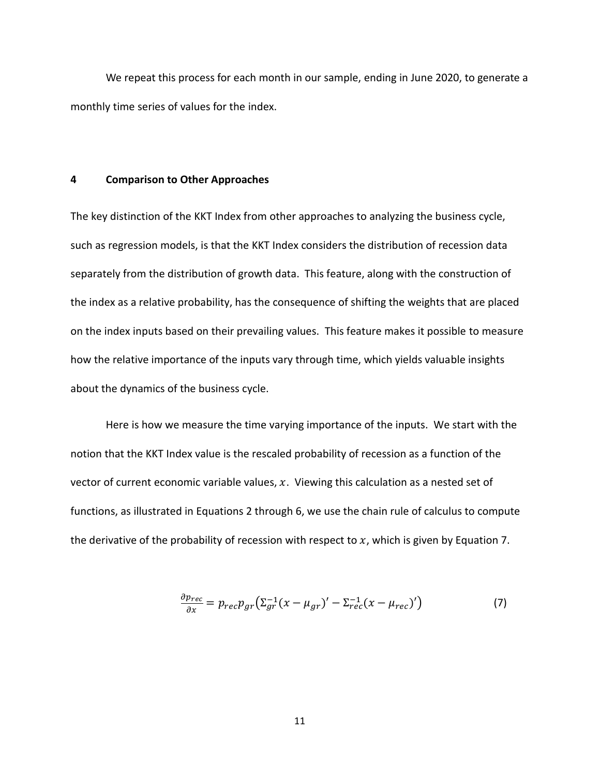We repeat this process for each month in our sample, ending in June 2020, to generate a monthly time series of values for the index.

#### **4 Comparison to Other Approaches**

The key distinction of the KKT Index from other approaches to analyzing the business cycle, such as regression models, is that the KKT Index considers the distribution of recession data separately from the distribution of growth data. This feature, along with the construction of the index as a relative probability, has the consequence of shifting the weights that are placed on the index inputs based on their prevailing values. This feature makes it possible to measure how the relative importance of the inputs vary through time, which yields valuable insights about the dynamics of the business cycle.

Here is how we measure the time varying importance of the inputs. We start with the notion that the KKT Index value is the rescaled probability of recession as a function of the vector of current economic variable values,  $x$ . Viewing this calculation as a nested set of functions, as illustrated in Equations 2 through 6, we use the chain rule of calculus to compute the derivative of the probability of recession with respect to  $x$ , which is given by Equation 7.

$$
\frac{\partial p_{rec}}{\partial x} = p_{rec} p_{gr} \left( \Sigma_{gr}^{-1} (x - \mu_{gr})' - \Sigma_{rec}^{-1} (x - \mu_{rec})' \right)
$$
(7)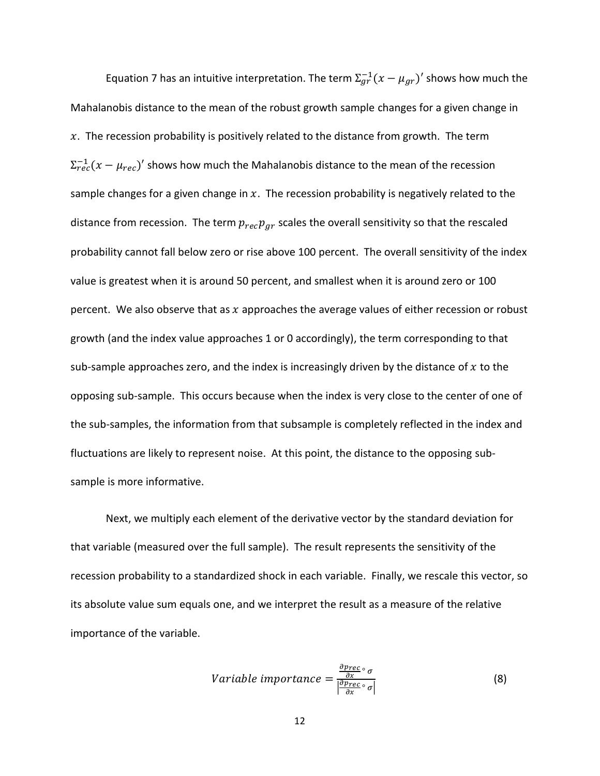Equation 7 has an intuitive interpretation. The term  $\Sigma_{gr}^{-1}(x-\mu_{gr})'$  shows how much the Mahalanobis distance to the mean of the robust growth sample changes for a given change in  $x$ . The recession probability is positively related to the distance from growth. The term  $\Sigma^{-1}_{rec}(x-\mu_{rec})'$  shows how much the Mahalanobis distance to the mean of the recession sample changes for a given change in  $x$ . The recession probability is negatively related to the distance from recession. The term  $p_{rec}p_{gr}$  scales the overall sensitivity so that the rescaled probability cannot fall below zero or rise above 100 percent. The overall sensitivity of the index value is greatest when it is around 50 percent, and smallest when it is around zero or 100 percent. We also observe that as  $x$  approaches the average values of either recession or robust growth (and the index value approaches 1 or 0 accordingly), the term corresponding to that sub-sample approaches zero, and the index is increasingly driven by the distance of  $x$  to the opposing sub-sample. This occurs because when the index is very close to the center of one of the sub-samples, the information from that subsample is completely reflected in the index and fluctuations are likely to represent noise. At this point, the distance to the opposing subsample is more informative.

Next, we multiply each element of the derivative vector by the standard deviation for that variable (measured over the full sample). The result represents the sensitivity of the recession probability to a standardized shock in each variable. Finally, we rescale this vector, so its absolute value sum equals one, and we interpret the result as a measure of the relative importance of the variable.

$$
Variable\ importance = \frac{\frac{\partial \text{prec}}{\partial x} \circ \sigma}{|\frac{\partial \text{prec}}{\partial x} \circ \sigma|}
$$
(8)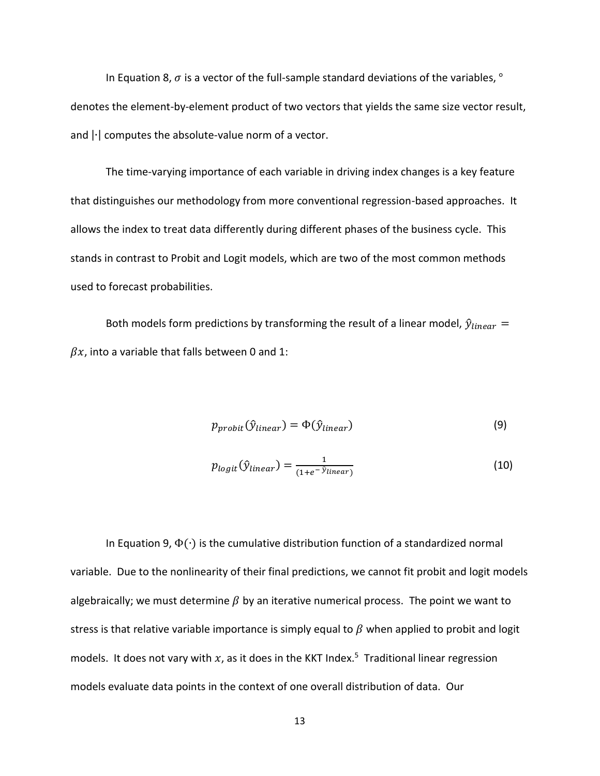In Equation 8,  $\sigma$  is a vector of the full-sample standard deviations of the variables,  $^{\circ}$ denotes the element-by-element product of two vectors that yields the same size vector result, and |∙| computes the absolute-value norm of a vector.

The time-varying importance of each variable in driving index changes is a key feature that distinguishes our methodology from more conventional regression-based approaches. It allows the index to treat data differently during different phases of the business cycle. This stands in contrast to Probit and Logit models, which are two of the most common methods used to forecast probabilities.

Both models form predictions by transforming the result of a linear model,  $\hat{y}_{linear}$  =  $\beta x$ , into a variable that falls between 0 and 1:

$$
p_{probit}(\hat{y}_{linear}) = \Phi(\hat{y}_{linear})
$$
\n(9)

$$
p_{logit}(\hat{y}_{linear}) = \frac{1}{(1 + e^{-\hat{y}_{linear})}}
$$
(10)

In Equation 9,  $\Phi(\cdot)$  is the cumulative distribution function of a standardized normal variable. Due to the nonlinearity of their final predictions, we cannot fit probit and logit models algebraically; we must determine  $\beta$  by an iterative numerical process. The point we want to stress is that relative variable importance is simply equal to  $\beta$  when applied to probit and logit models. It does not vary with  $x$ , as it does in the KKT Index.<sup>5</sup> Traditional linear regression models evaluate data points in the context of one overall distribution of data. Our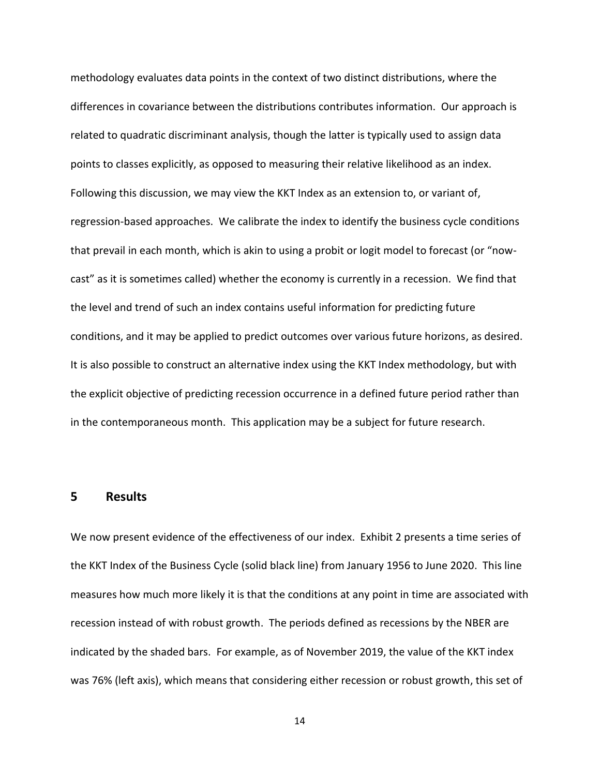methodology evaluates data points in the context of two distinct distributions, where the differences in covariance between the distributions contributes information. Our approach is related to quadratic discriminant analysis, though the latter is typically used to assign data points to classes explicitly, as opposed to measuring their relative likelihood as an index. Following this discussion, we may view the KKT Index as an extension to, or variant of, regression-based approaches. We calibrate the index to identify the business cycle conditions that prevail in each month, which is akin to using a probit or logit model to forecast (or "nowcast" as it is sometimes called) whether the economy is currently in a recession. We find that the level and trend of such an index contains useful information for predicting future conditions, and it may be applied to predict outcomes over various future horizons, as desired. It is also possible to construct an alternative index using the KKT Index methodology, but with the explicit objective of predicting recession occurrence in a defined future period rather than in the contemporaneous month. This application may be a subject for future research.

### **5 Results**

We now present evidence of the effectiveness of our index. Exhibit 2 presents a time series of the KKT Index of the Business Cycle (solid black line) from January 1956 to June 2020. This line measures how much more likely it is that the conditions at any point in time are associated with recession instead of with robust growth. The periods defined as recessions by the NBER are indicated by the shaded bars. For example, as of November 2019, the value of the KKT index was 76% (left axis), which means that considering either recession or robust growth, this set of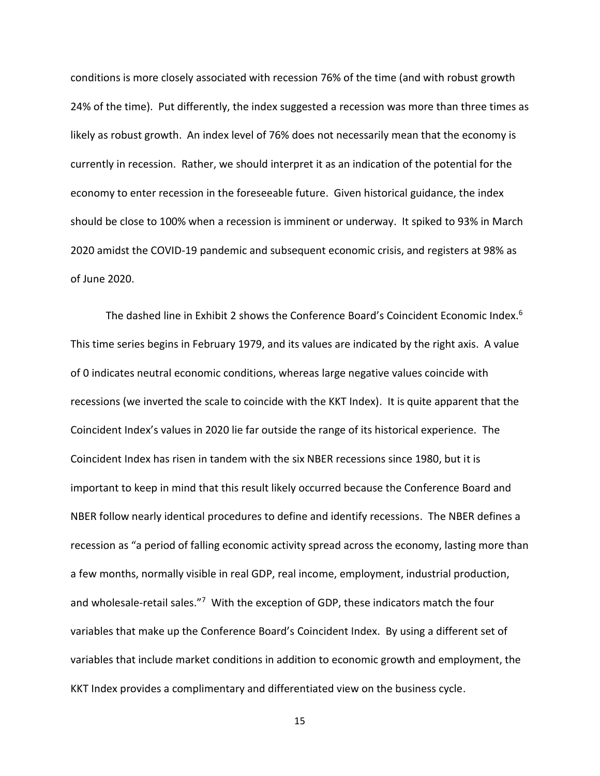conditions is more closely associated with recession 76% of the time (and with robust growth 24% of the time). Put differently, the index suggested a recession was more than three times as likely as robust growth. An index level of 76% does not necessarily mean that the economy is currently in recession. Rather, we should interpret it as an indication of the potential for the economy to enter recession in the foreseeable future. Given historical guidance, the index should be close to 100% when a recession is imminent or underway. It spiked to 93% in March 2020 amidst the COVID-19 pandemic and subsequent economic crisis, and registers at 98% as of June 2020.

The dashed line in Exhibit 2 shows the Conference Board's Coincident Economic Index. 6 This time series begins in February 1979, and its values are indicated by the right axis. A value of 0 indicates neutral economic conditions, whereas large negative values coincide with recessions (we inverted the scale to coincide with the KKT Index). It is quite apparent that the Coincident Index's values in 2020 lie far outside the range of its historical experience. The Coincident Index has risen in tandem with the six NBER recessions since 1980, but it is important to keep in mind that this result likely occurred because the Conference Board and NBER follow nearly identical procedures to define and identify recessions. The NBER defines a recession as "a period of falling economic activity spread across the economy, lasting more than a few months, normally visible in real GDP, real income, employment, industrial production, and wholesale-retail sales."<sup>7</sup> With the exception of GDP, these indicators match the four variables that make up the Conference Board's Coincident Index. By using a different set of variables that include market conditions in addition to economic growth and employment, the KKT Index provides a complimentary and differentiated view on the business cycle.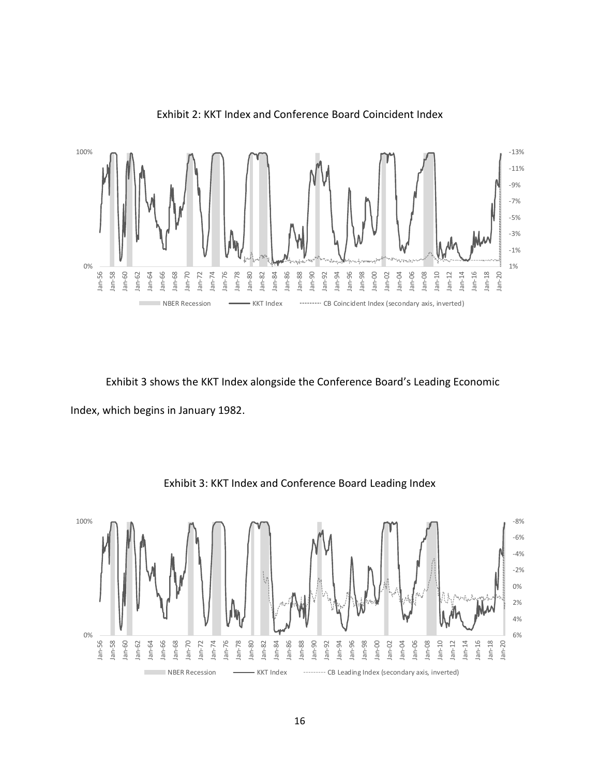

Exhibit 2: KKT Index and Conference Board Coincident Index

Exhibit 3 shows the KKT Index alongside the Conference Board's Leading Economic Index, which begins in January 1982.



Exhibit 3: KKT Index and Conference Board Leading Index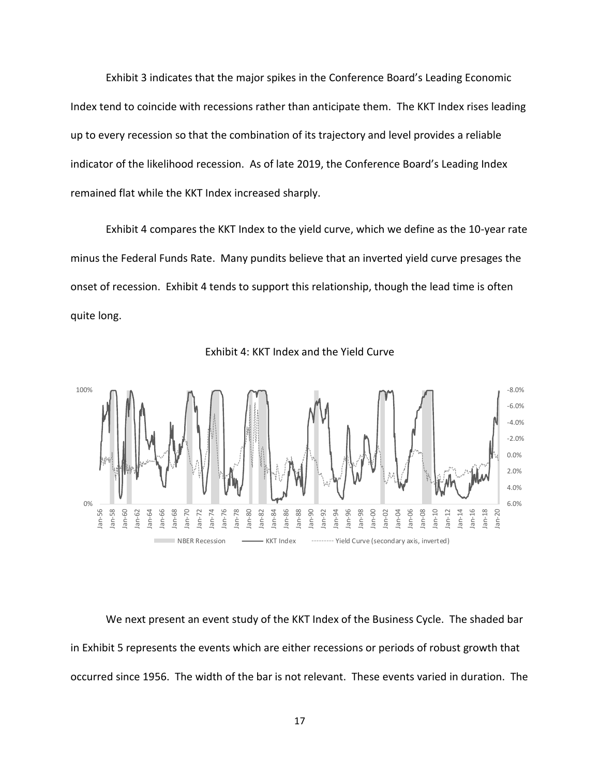Exhibit 3 indicates that the major spikes in the Conference Board's Leading Economic Index tend to coincide with recessions rather than anticipate them. The KKT Index rises leading up to every recession so that the combination of its trajectory and level provides a reliable indicator of the likelihood recession. As of late 2019, the Conference Board's Leading Index remained flat while the KKT Index increased sharply.

Exhibit 4 compares the KKT Index to the yield curve, which we define as the 10-year rate minus the Federal Funds Rate. Many pundits believe that an inverted yield curve presages the onset of recession. Exhibit 4 tends to support this relationship, though the lead time is often quite long.





We next present an event study of the KKT Index of the Business Cycle. The shaded bar in Exhibit 5 represents the events which are either recessions or periods of robust growth that occurred since 1956. The width of the bar is not relevant. These events varied in duration. The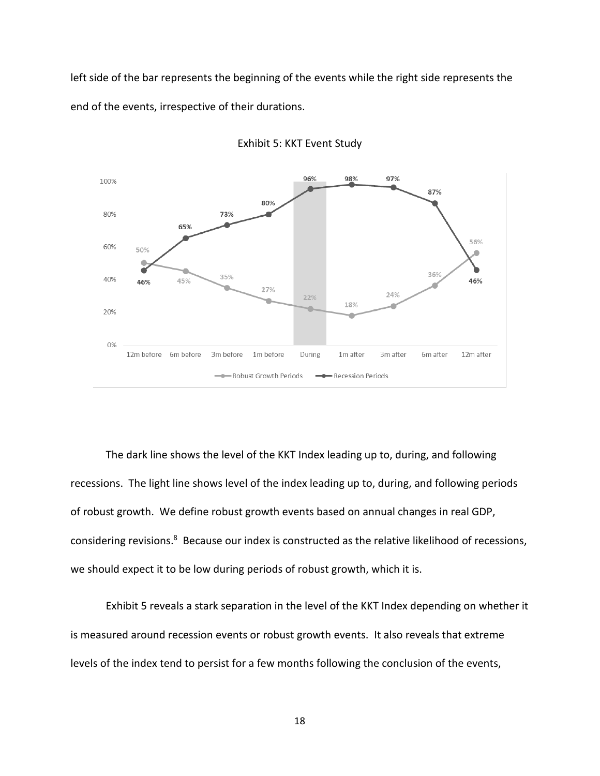left side of the bar represents the beginning of the events while the right side represents the end of the events, irrespective of their durations.



Exhibit 5: KKT Event Study

The dark line shows the level of the KKT Index leading up to, during, and following recessions. The light line shows level of the index leading up to, during, and following periods of robust growth. We define robust growth events based on annual changes in real GDP, considering revisions.<sup>8</sup> Because our index is constructed as the relative likelihood of recessions, we should expect it to be low during periods of robust growth, which it is.

Exhibit 5 reveals a stark separation in the level of the KKT Index depending on whether it is measured around recession events or robust growth events. It also reveals that extreme levels of the index tend to persist for a few months following the conclusion of the events,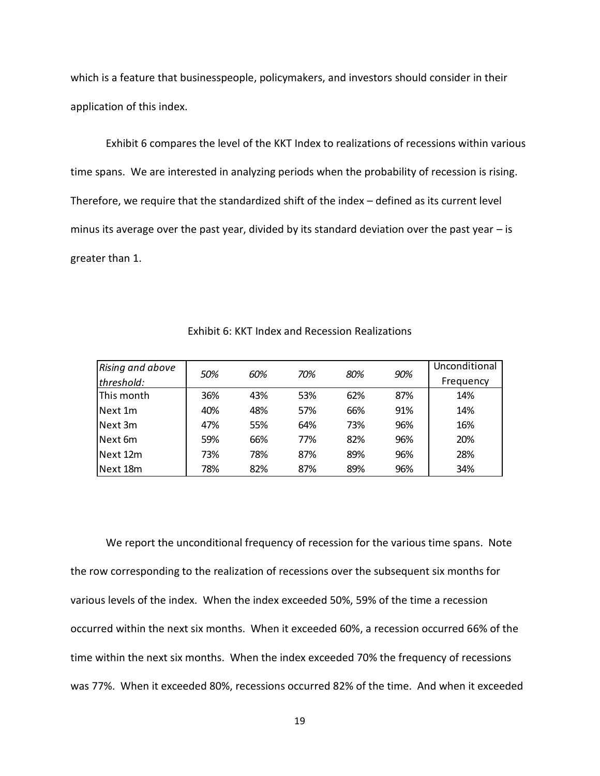which is a feature that businesspeople, policymakers, and investors should consider in their application of this index.

Exhibit 6 compares the level of the KKT Index to realizations of recessions within various time spans. We are interested in analyzing periods when the probability of recession is rising. Therefore, we require that the standardized shift of the index – defined as its current level minus its average over the past year, divided by its standard deviation over the past year – is greater than 1.

| <b>Rising and above</b> |     |     |     |     |     | Unconditional |
|-------------------------|-----|-----|-----|-----|-----|---------------|
| threshold:              | 50% | 60% | 70% | 80% | 90% | Frequency     |
| This month              | 36% | 43% | 53% | 62% | 87% | 14%           |
| Next 1m                 | 40% | 48% | 57% | 66% | 91% | 14%           |
| Next 3m                 | 47% | 55% | 64% | 73% | 96% | 16%           |
| Next 6m                 | 59% | 66% | 77% | 82% | 96% | 20%           |
| Next 12m                | 73% | 78% | 87% | 89% | 96% | 28%           |
| Next 18m                | 78% | 82% | 87% | 89% | 96% | 34%           |

Exhibit 6: KKT Index and Recession Realizations

We report the unconditional frequency of recession for the various time spans. Note the row corresponding to the realization of recessions over the subsequent six months for various levels of the index. When the index exceeded 50%, 59% of the time a recession occurred within the next six months. When it exceeded 60%, a recession occurred 66% of the time within the next six months. When the index exceeded 70% the frequency of recessions was 77%. When it exceeded 80%, recessions occurred 82% of the time. And when it exceeded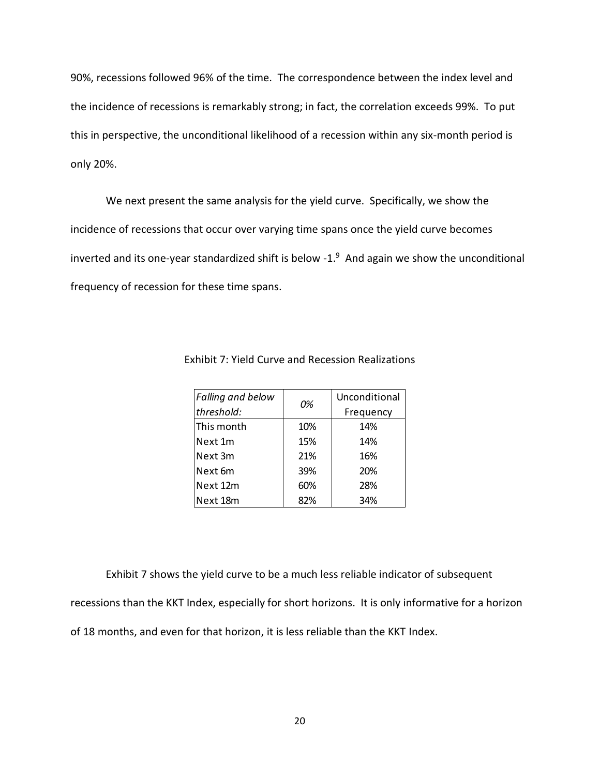90%, recessions followed 96% of the time. The correspondence between the index level and the incidence of recessions is remarkably strong; in fact, the correlation exceeds 99%. To put this in perspective, the unconditional likelihood of a recession within any six-month period is only 20%.

We next present the same analysis for the yield curve. Specifically, we show the incidence of recessions that occur over varying time spans once the yield curve becomes inverted and its one-year standardized shift is below -1. $^9$  And again we show the unconditional frequency of recession for these time spans.

| <b>Falling and below</b> | 0%  | Unconditional |  |
|--------------------------|-----|---------------|--|
| threshold:               |     | Frequency     |  |
| This month               | 10% | 14%           |  |
| Next 1m                  | 15% | 14%           |  |
| Next 3m                  | 21% | 16%           |  |
| Next 6m                  | 39% | 20%           |  |
| Next 12m                 | 60% | 28%           |  |
| Next 18m                 | 82% | 34%           |  |

Exhibit 7: Yield Curve and Recession Realizations

Exhibit 7 shows the yield curve to be a much less reliable indicator of subsequent recessions than the KKT Index, especially for short horizons. It is only informative for a horizon of 18 months, and even for that horizon, it is less reliable than the KKT Index.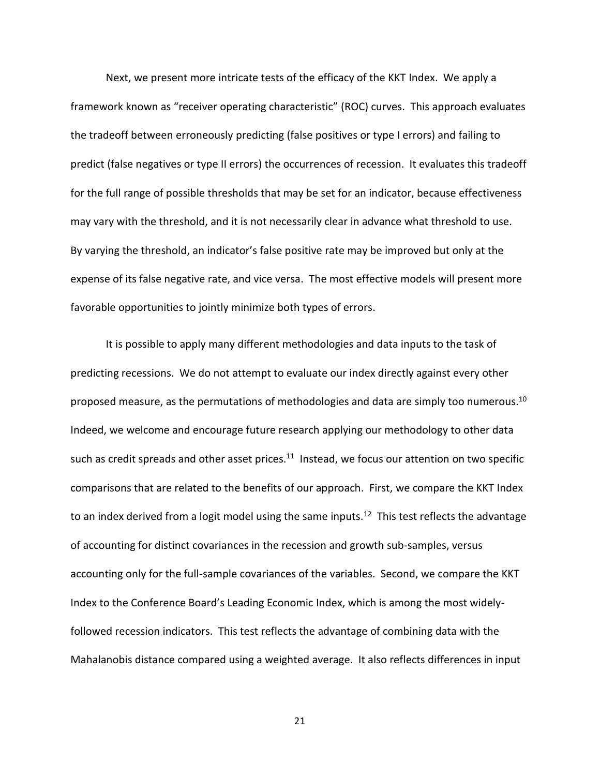Next, we present more intricate tests of the efficacy of the KKT Index. We apply a framework known as "receiver operating characteristic" (ROC) curves. This approach evaluates the tradeoff between erroneously predicting (false positives or type I errors) and failing to predict (false negatives or type II errors) the occurrences of recession. It evaluates this tradeoff for the full range of possible thresholds that may be set for an indicator, because effectiveness may vary with the threshold, and it is not necessarily clear in advance what threshold to use. By varying the threshold, an indicator's false positive rate may be improved but only at the expense of its false negative rate, and vice versa. The most effective models will present more favorable opportunities to jointly minimize both types of errors.

It is possible to apply many different methodologies and data inputs to the task of predicting recessions. We do not attempt to evaluate our index directly against every other proposed measure, as the permutations of methodologies and data are simply too numerous.<sup>10</sup> Indeed, we welcome and encourage future research applying our methodology to other data such as credit spreads and other asset prices.<sup>11</sup> Instead, we focus our attention on two specific comparisons that are related to the benefits of our approach. First, we compare the KKT Index to an index derived from a logit model using the same inputs.<sup>12</sup> This test reflects the advantage of accounting for distinct covariances in the recession and growth sub-samples, versus accounting only for the full-sample covariances of the variables. Second, we compare the KKT Index to the Conference Board's Leading Economic Index, which is among the most widelyfollowed recession indicators. This test reflects the advantage of combining data with the Mahalanobis distance compared using a weighted average. It also reflects differences in input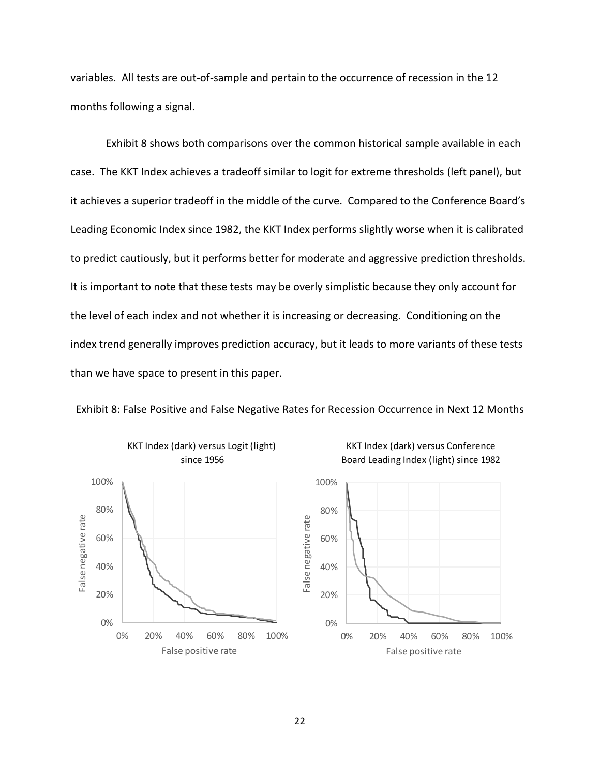variables. All tests are out-of-sample and pertain to the occurrence of recession in the 12 months following a signal.

Exhibit 8 shows both comparisons over the common historical sample available in each case. The KKT Index achieves a tradeoff similar to logit for extreme thresholds (left panel), but it achieves a superior tradeoff in the middle of the curve. Compared to the Conference Board's Leading Economic Index since 1982, the KKT Index performs slightly worse when it is calibrated to predict cautiously, but it performs better for moderate and aggressive prediction thresholds. It is important to note that these tests may be overly simplistic because they only account for the level of each index and not whether it is increasing or decreasing. Conditioning on the index trend generally improves prediction accuracy, but it leads to more variants of these tests than we have space to present in this paper.



Exhibit 8: False Positive and False Negative Rates for Recession Occurrence in Next 12 Months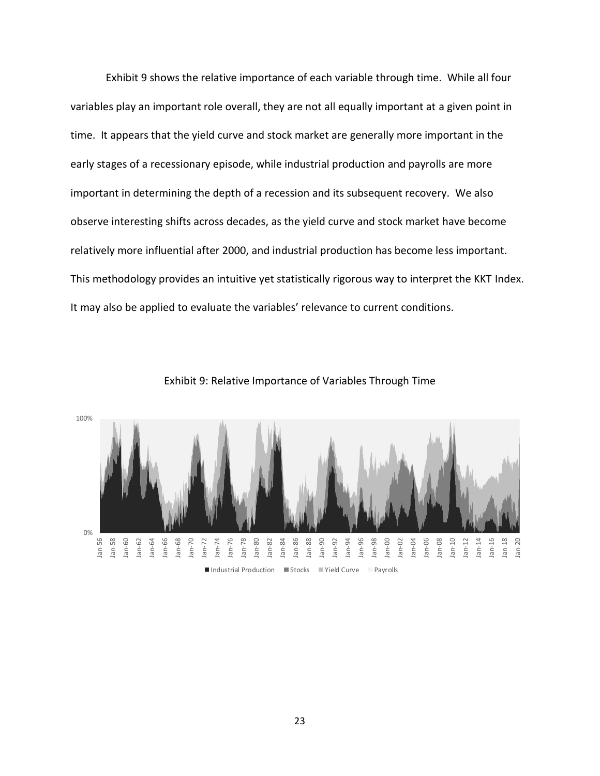Exhibit 9 shows the relative importance of each variable through time. While all four variables play an important role overall, they are not all equally important at a given point in time. It appears that the yield curve and stock market are generally more important in the early stages of a recessionary episode, while industrial production and payrolls are more important in determining the depth of a recession and its subsequent recovery. We also observe interesting shifts across decades, as the yield curve and stock market have become relatively more influential after 2000, and industrial production has become less important. This methodology provides an intuitive yet statistically rigorous way to interpret the KKT Index. It may also be applied to evaluate the variables' relevance to current conditions.



Exhibit 9: Relative Importance of Variables Through Time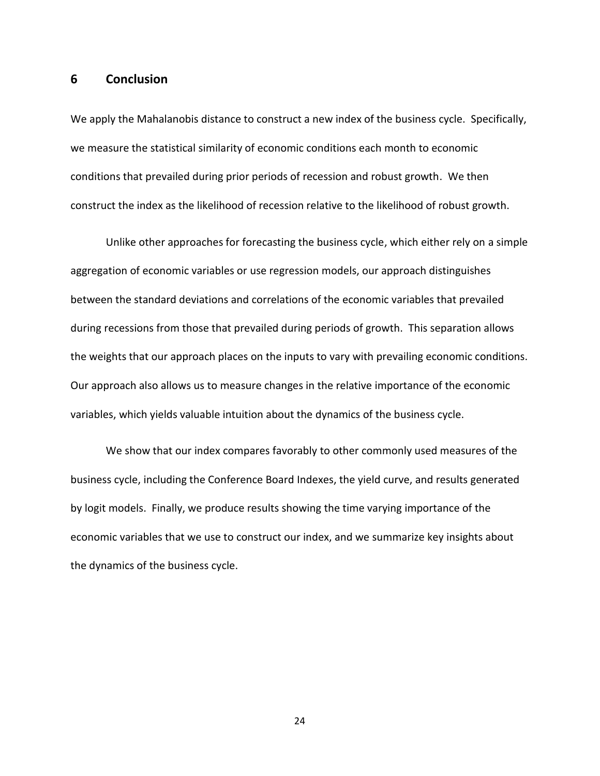#### **6 Conclusion**

We apply the Mahalanobis distance to construct a new index of the business cycle. Specifically, we measure the statistical similarity of economic conditions each month to economic conditions that prevailed during prior periods of recession and robust growth. We then construct the index as the likelihood of recession relative to the likelihood of robust growth.

Unlike other approaches for forecasting the business cycle, which either rely on a simple aggregation of economic variables or use regression models, our approach distinguishes between the standard deviations and correlations of the economic variables that prevailed during recessions from those that prevailed during periods of growth. This separation allows the weights that our approach places on the inputs to vary with prevailing economic conditions. Our approach also allows us to measure changes in the relative importance of the economic variables, which yields valuable intuition about the dynamics of the business cycle.

We show that our index compares favorably to other commonly used measures of the business cycle, including the Conference Board Indexes, the yield curve, and results generated by logit models. Finally, we produce results showing the time varying importance of the economic variables that we use to construct our index, and we summarize key insights about the dynamics of the business cycle.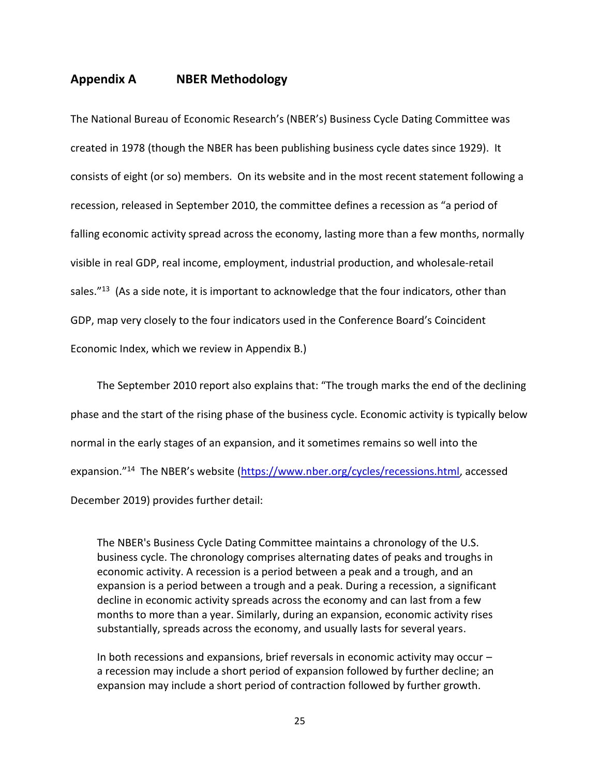# **Appendix A NBER Methodology**

The National Bureau of Economic Research's (NBER's) Business Cycle Dating Committee was created in 1978 (though the NBER has been publishing business cycle dates since 1929). It consists of eight (or so) members. On its website and in the most recent statement following a recession, released in September 2010, the committee defines a recession as "a period of falling economic activity spread across the economy, lasting more than a few months, normally visible in real GDP, real income, employment, industrial production, and wholesale-retail sales. $"^{13}$  (As a side note, it is important to acknowledge that the four indicators, other than GDP, map very closely to the four indicators used in the Conference Board's Coincident Economic Index, which we review in Appendix B.)

The September 2010 report also explains that: "The trough marks the end of the declining phase and the start of the rising phase of the business cycle. Economic activity is typically below normal in the early stages of an expansion, and it sometimes remains so well into the expansion."<sup>14</sup> The NBER's website ([https://www.nber.org/cycles/recessions.html,](https://www.nber.org/cycles/recessions.html) accessed December 2019) provides further detail:

The NBER's Business Cycle Dating Committee maintains a chronology of the U.S. business cycle. The chronology comprises alternating dates of peaks and troughs in economic activity. A recession is a period between a peak and a trough, and an expansion is a period between a trough and a peak. During a recession, a significant decline in economic activity spreads across the economy and can last from a few months to more than a year. Similarly, during an expansion, economic activity rises substantially, spreads across the economy, and usually lasts for several years.

In both recessions and expansions, brief reversals in economic activity may occur – a recession may include a short period of expansion followed by further decline; an expansion may include a short period of contraction followed by further growth.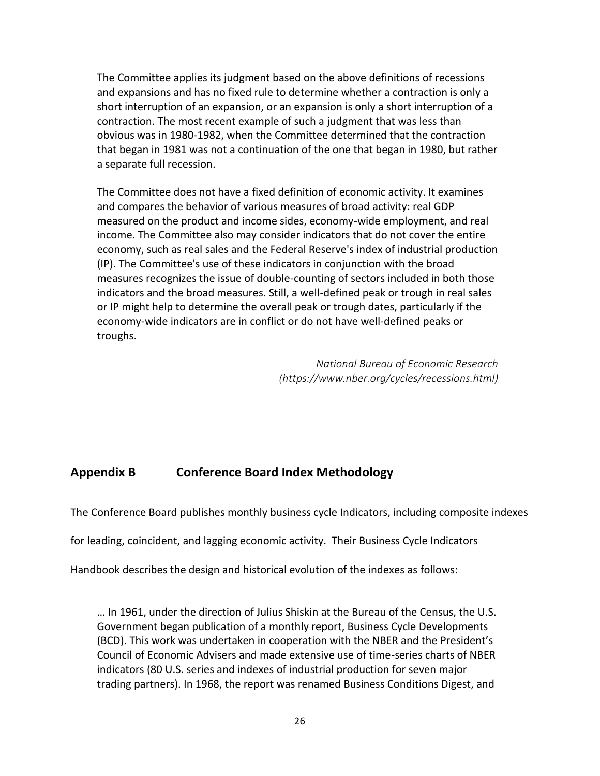The Committee applies its judgment based on the above definitions of recessions and expansions and has no fixed rule to determine whether a contraction is only a short interruption of an expansion, or an expansion is only a short interruption of a contraction. The most recent example of such a judgment that was less than obvious was in 1980-1982, when the Committee determined that the contraction that began in 1981 was not a continuation of the one that began in 1980, but rather a separate full recession.

The Committee does not have a fixed definition of economic activity. It examines and compares the behavior of various measures of broad activity: real GDP measured on the product and income sides, economy-wide employment, and real income. The Committee also may consider indicators that do not cover the entire economy, such as real sales and the Federal Reserve's index of industrial production (IP). The Committee's use of these indicators in conjunction with the broad measures recognizes the issue of double-counting of sectors included in both those indicators and the broad measures. Still, a well-defined peak or trough in real sales or IP might help to determine the overall peak or trough dates, particularly if the economy-wide indicators are in conflict or do not have well-defined peaks or troughs.

> *National Bureau of Economic Research (https://www.nber.org/cycles/recessions.html)*

# **Appendix B Conference Board Index Methodology**

The Conference Board publishes monthly business cycle Indicators, including composite indexes

for leading, coincident, and lagging economic activity. Their Business Cycle Indicators

Handbook describes the design and historical evolution of the indexes as follows:

… In 1961, under the direction of Julius Shiskin at the Bureau of the Census, the U.S. Government began publication of a monthly report, Business Cycle Developments (BCD). This work was undertaken in cooperation with the NBER and the President's Council of Economic Advisers and made extensive use of time-series charts of NBER indicators (80 U.S. series and indexes of industrial production for seven major trading partners). In 1968, the report was renamed Business Conditions Digest, and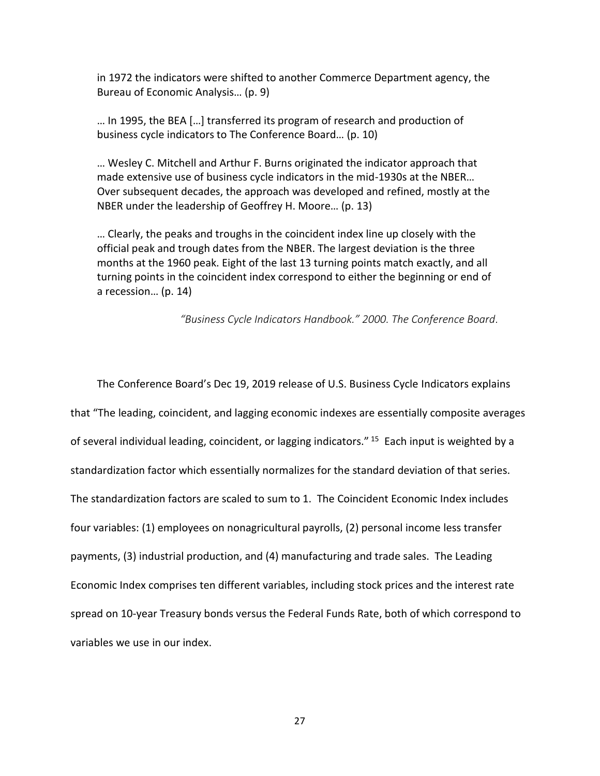in 1972 the indicators were shifted to another Commerce Department agency, the Bureau of Economic Analysis… (p. 9)

… In 1995, the BEA […] transferred its program of research and production of business cycle indicators to The Conference Board… (p. 10)

… Wesley C. Mitchell and Arthur F. Burns originated the indicator approach that made extensive use of business cycle indicators in the mid-1930s at the NBER… Over subsequent decades, the approach was developed and refined, mostly at the NBER under the leadership of Geoffrey H. Moore… (p. 13)

… Clearly, the peaks and troughs in the coincident index line up closely with the official peak and trough dates from the NBER. The largest deviation is the three months at the 1960 peak. Eight of the last 13 turning points match exactly, and all turning points in the coincident index correspond to either the beginning or end of a recession… (p. 14)

*"Business Cycle Indicators Handbook." 2000. The Conference Board.*

The Conference Board's Dec 19, 2019 release of U.S. Business Cycle Indicators explains that "The leading, coincident, and lagging economic indexes are essentially composite averages of several individual leading, coincident, or lagging indicators." <sup>15</sup> Each input is weighted by a standardization factor which essentially normalizes for the standard deviation of that series. The standardization factors are scaled to sum to 1. The Coincident Economic Index includes four variables: (1) employees on nonagricultural payrolls, (2) personal income less transfer payments, (3) industrial production, and (4) manufacturing and trade sales. The Leading Economic Index comprises ten different variables, including stock prices and the interest rate spread on 10-year Treasury bonds versus the Federal Funds Rate, both of which correspond to variables we use in our index.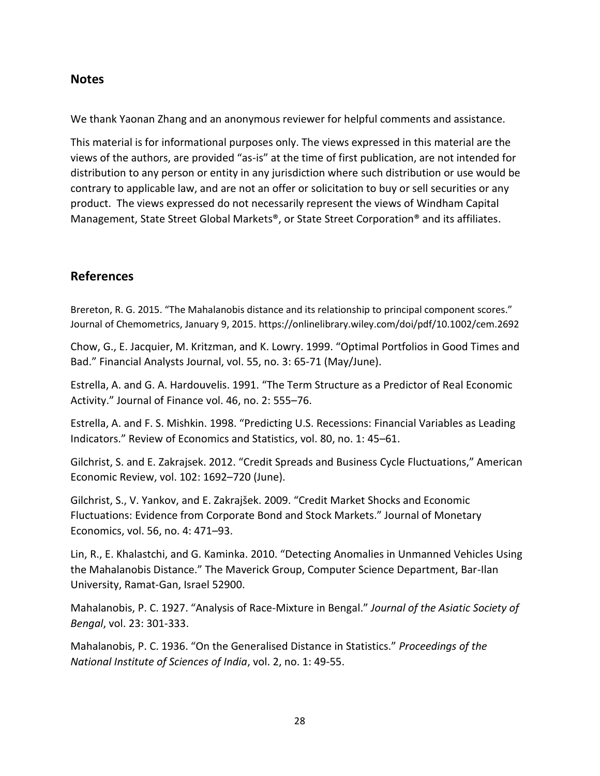# **Notes**

We thank Yaonan Zhang and an anonymous reviewer for helpful comments and assistance.

This material is for informational purposes only. The views expressed in this material are the views of the authors, are provided "as-is" at the time of first publication, are not intended for distribution to any person or entity in any jurisdiction where such distribution or use would be contrary to applicable law, and are not an offer or solicitation to buy or sell securities or any product. The views expressed do not necessarily represent the views of Windham Capital Management, State Street Global Markets®, or State Street Corporation® and its affiliates.

# **References**

Brereton, R. G. 2015. "The Mahalanobis distance and its relationship to principal component scores." Journal of Chemometrics, January 9, 2015. https://onlinelibrary.wiley.com/doi/pdf/10.1002/cem.2692

Chow, G., E. Jacquier, M. Kritzman, and K. Lowry. 1999. "Optimal Portfolios in Good Times and Bad." Financial Analysts Journal, vol. 55, no. 3: 65-71 (May/June).

Estrella, A. and G. A. Hardouvelis. 1991. "The Term Structure as a Predictor of Real Economic Activity." Journal of Finance vol. 46, no. 2: 555–76.

Estrella, A. and F. S. Mishkin. 1998. "Predicting U.S. Recessions: Financial Variables as Leading Indicators." Review of Economics and Statistics, vol. 80, no. 1: 45–61.

Gilchrist, S. and E. Zakrajsek. 2012. "Credit Spreads and Business Cycle Fluctuations," American Economic Review, vol. 102: 1692–720 (June).

Gilchrist, S., V. Yankov, and E. Zakrajšek. 2009. "Credit Market Shocks and Economic Fluctuations: Evidence from Corporate Bond and Stock Markets." Journal of Monetary Economics, vol. 56, no. 4: 471–93.

Lin, R., E. Khalastchi, and G. Kaminka. 2010. "Detecting Anomalies in Unmanned Vehicles Using the Mahalanobis Distance." The Maverick Group, Computer Science Department, Bar-Ilan University, Ramat-Gan, Israel 52900.

Mahalanobis, P. C. 1927. "Analysis of Race-Mixture in Bengal." *Journal of the Asiatic Society of Bengal*, vol. 23: 301-333.

Mahalanobis, P. C. 1936. "On the Generalised Distance in Statistics." *Proceedings of the National Institute of Sciences of India*, vol. 2, no. 1: 49-55.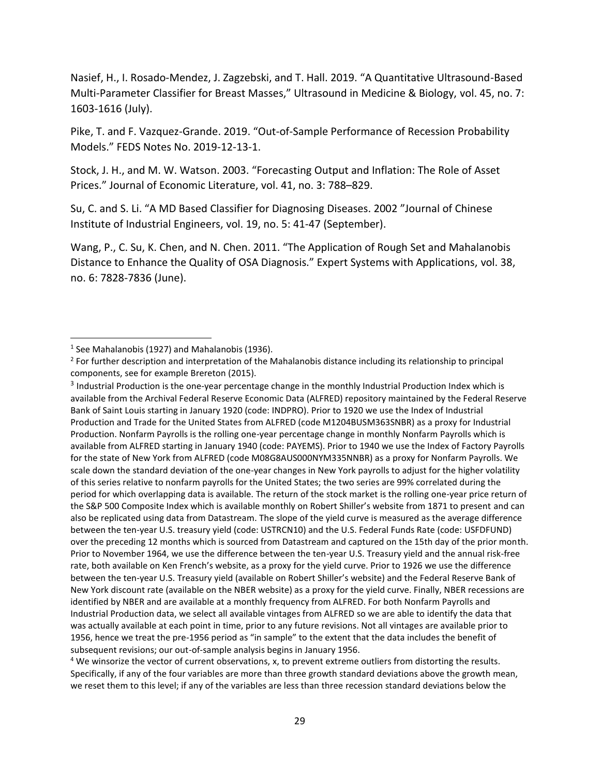Nasief, H., I. Rosado-Mendez, J. Zagzebski, and T. Hall. 2019. "A Quantitative Ultrasound-Based Multi-Parameter Classifier for Breast Masses," Ultrasound in Medicine & Biology, vol. 45, no. 7: 1603-1616 (July).

Pike, T. and F. Vazquez-Grande. 2019. "Out-of-Sample Performance of Recession Probability Models." FEDS Notes No. 2019-12-13-1.

Stock, J. H., and M. W. Watson. 2003. "Forecasting Output and Inflation: The Role of Asset Prices." Journal of Economic Literature, vol. 41, no. 3: 788–829.

Su, C. and S. Li. "A MD Based Classifier for Diagnosing Diseases. 2002 "Journal of Chinese Institute of Industrial Engineers, vol. 19, no. 5: 41-47 (September).

Wang, P., C. Su, K. Chen, and N. Chen. 2011. "The Application of Rough Set and Mahalanobis Distance to Enhance the Quality of OSA Diagnosis." Expert Systems with Applications, vol. 38, no. 6: 7828-7836 (June).

 $\overline{\phantom{a}}$ 

<sup>&</sup>lt;sup>1</sup> See Mahalanobis (1927) and Mahalanobis (1936).

<sup>&</sup>lt;sup>2</sup> For further description and interpretation of the Mahalanobis distance including its relationship to principal components, see for example Brereton (2015).

 $3$  Industrial Production is the one-year percentage change in the monthly Industrial Production Index which is available from the Archival Federal Reserve Economic Data (ALFRED) repository maintained by the Federal Reserve Bank of Saint Louis starting in January 1920 (code: INDPRO). Prior to 1920 we use the Index of Industrial Production and Trade for the United States from ALFRED (code M1204BUSM363SNBR) as a proxy for Industrial Production. Nonfarm Payrolls is the rolling one-year percentage change in monthly Nonfarm Payrolls which is available from ALFRED starting in January 1940 (code: PAYEMS). Prior to 1940 we use the Index of Factory Payrolls for the state of New York from ALFRED (code M08G8AUS000NYM335NNBR) as a proxy for Nonfarm Payrolls. We scale down the standard deviation of the one-year changes in New York payrolls to adjust for the higher volatility of this series relative to nonfarm payrolls for the United States; the two series are 99% correlated during the period for which overlapping data is available. The return of the stock market is the rolling one-year price return of the S&P 500 Composite Index which is available monthly on Robert Shiller's website from 1871 to present and can also be replicated using data from Datastream. The slope of the yield curve is measured as the average difference between the ten-year U.S. treasury yield (code: USTRCN10) and the U.S. Federal Funds Rate (code: USFDFUND) over the preceding 12 months which is sourced from Datastream and captured on the 15th day of the prior month. Prior to November 1964, we use the difference between the ten-year U.S. Treasury yield and the annual risk-free rate, both available on Ken French's website, as a proxy for the yield curve. Prior to 1926 we use the difference between the ten-year U.S. Treasury yield (available on Robert Shiller's website) and the Federal Reserve Bank of New York discount rate (available on the NBER website) as a proxy for the yield curve. Finally, NBER recessions are identified by NBER and are available at a monthly frequency from ALFRED. For both Nonfarm Payrolls and Industrial Production data, we select all available vintages from ALFRED so we are able to identify the data that was actually available at each point in time, prior to any future revisions. Not all vintages are available prior to 1956, hence we treat the pre-1956 period as "in sample" to the extent that the data includes the benefit of subsequent revisions; our out-of-sample analysis begins in January 1956.

<sup>4</sup> We winsorize the vector of current observations, x, to prevent extreme outliers from distorting the results. Specifically, if any of the four variables are more than three growth standard deviations above the growth mean, we reset them to this level; if any of the variables are less than three recession standard deviations below the